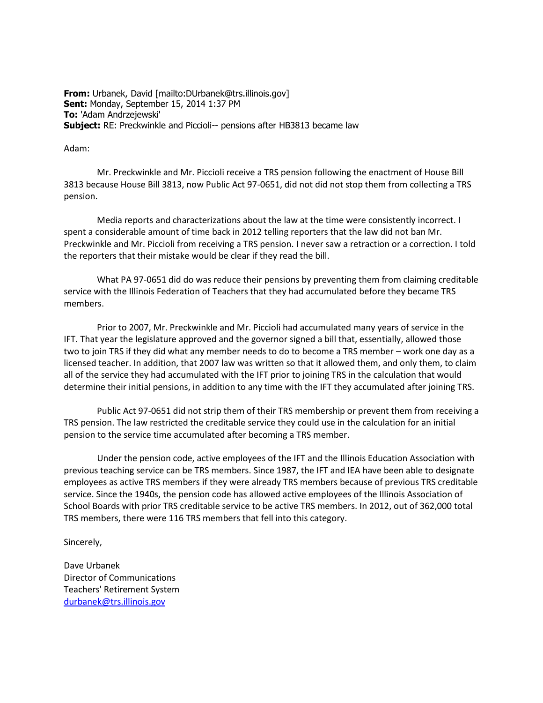**From:** Urbanek, David [mailto:DUrbanek@trs.illinois.gov] **Sent:** Monday, September 15, 2014 1:37 PM **To:** 'Adam Andrzejewski' **Subject:** RE: Preckwinkle and Piccioli-- pensions after HB3813 became law

## Adam:

 Mr. Preckwinkle and Mr. Piccioli receive a TRS pension following the enactment of House Bill 3813 because House Bill 3813, now Public Act 97-0651, did not did not stop them from collecting a TRS pension.

 Media reports and characterizations about the law at the time were consistently incorrect. I spent a considerable amount of time back in 2012 telling reporters that the law did not ban Mr. Preckwinkle and Mr. Piccioli from receiving a TRS pension. I never saw a retraction or a correction. I told the reporters that their mistake would be clear if they read the bill.

 What PA 97-0651 did do was reduce their pensions by preventing them from claiming creditable service with the Illinois Federation of Teachers that they had accumulated before they became TRS members.

 Prior to 2007, Mr. Preckwinkle and Mr. Piccioli had accumulated many years of service in the IFT. That year the legislature approved and the governor signed a bill that, essentially, allowed those two to join TRS if they did what any member needs to do to become a TRS member – work one day as a licensed teacher. In addition, that 2007 law was written so that it allowed them, and only them, to claim all of the service they had accumulated with the IFT prior to joining TRS in the calculation that would determine their initial pensions, in addition to any time with the IFT they accumulated after joining TRS.

 Public Act 97-0651 did not strip them of their TRS membership or prevent them from receiving a TRS pension. The law restricted the creditable service they could use in the calculation for an initial pension to the service time accumulated after becoming a TRS member.

 Under the pension code, active employees of the IFT and the Illinois Education Association with previous teaching service can be TRS members. Since 1987, the IFT and IEA have been able to designate employees as active TRS members if they were already TRS members because of previous TRS creditable service. Since the 1940s, the pension code has allowed active employees of the Illinois Association of School Boards with prior TRS creditable service to be active TRS members. In 2012, out of 362,000 total TRS members, there were 116 TRS members that fell into this category.

Sincerely,

Dave Urbanek Director of Communications Teachers' Retirement System [durbanek@trs.illinois.gov](mailto:durbanek@trs.illinois.gov)